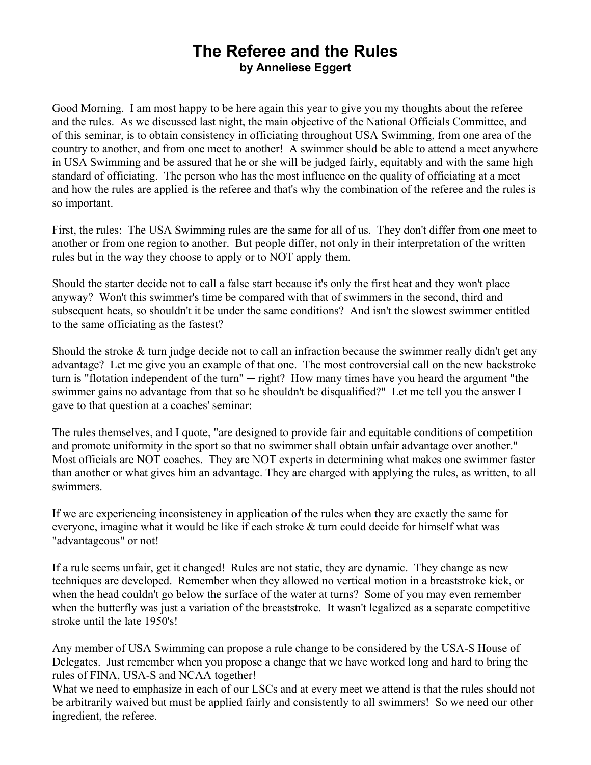## **The Referee and the Rules by Anneliese Eggert**

Good Morning. I am most happy to be here again this year to give you my thoughts about the referee and the rules. As we discussed last night, the main objective of the National Officials Committee, and of this seminar, is to obtain consistency in officiating throughout USA Swimming, from one area of the country to another, and from one meet to another! A swimmer should be able to attend a meet anywhere in USA Swimming and be assured that he or she will be judged fairly, equitably and with the same high standard of officiating. The person who has the most influence on the quality of officiating at a meet and how the rules are applied is the referee and that's why the combination of the referee and the rules is so important.

First, the rules: The USA Swimming rules are the same for all of us. They don't differ from one meet to another or from one region to another. But people differ, not only in their interpretation of the written rules but in the way they choose to apply or to NOT apply them.

Should the starter decide not to call a false start because it's only the first heat and they won't place anyway? Won't this swimmer's time be compared with that of swimmers in the second, third and subsequent heats, so shouldn't it be under the same conditions? And isn't the slowest swimmer entitled to the same officiating as the fastest?

Should the stroke  $&$  turn judge decide not to call an infraction because the swimmer really didn't get any advantage? Let me give you an example of that one. The most controversial call on the new backstroke turn is "flotation independent of the turn"  $-$  right? How many times have you heard the argument "the swimmer gains no advantage from that so he shouldn't be disqualified?" Let me tell you the answer I gave to that question at a coaches' seminar:

The rules themselves, and I quote, "are designed to provide fair and equitable conditions of competition and promote uniformity in the sport so that no swimmer shall obtain unfair advantage over another." Most officials are NOT coaches. They are NOT experts in determining what makes one swimmer faster than another or what gives him an advantage. They are charged with applying the rules, as written, to all swimmers.

If we are experiencing inconsistency in application of the rules when they are exactly the same for everyone, imagine what it would be like if each stroke  $&$  turn could decide for himself what was "advantageous" or not!

If a rule seems unfair, get it changed! Rules are not static, they are dynamic. They change as new techniques are developed. Remember when they allowed no vertical motion in a breaststroke kick, or when the head couldn't go below the surface of the water at turns? Some of you may even remember when the butterfly was just a variation of the breaststroke. It wasn't legalized as a separate competitive stroke until the late 1950's!

Any member of USA Swimming can propose a rule change to be considered by the USA-S House of Delegates. Just remember when you propose a change that we have worked long and hard to bring the rules of FINA, USA-S and NCAA together!

What we need to emphasize in each of our LSCs and at every meet we attend is that the rules should not be arbitrarily waived but must be applied fairly and consistently to all swimmers! So we need our other ingredient, the referee.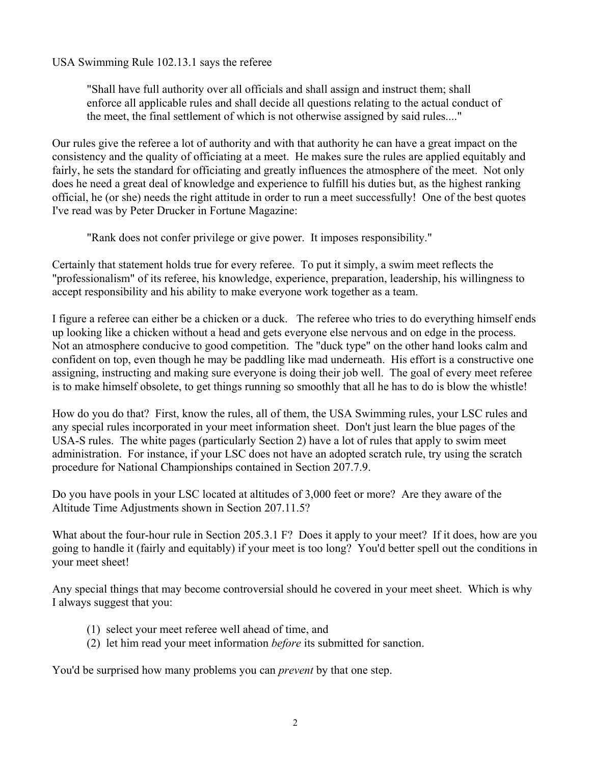USA Swimming Rule 102.13.1 says the referee

PShall have full authority over all officials and shall assign and instruct them; shall enforce all applicable rules and shall decide all questions relating to the actual conduct of the meet, the final settlement of which is not otherwise assigned by said rules...."

Our rules give the referee a lot of authority and with that authority he can have a great impact on the consistency and the quality of officiating at a meet. He makes sure the rules are applied equitably and fairly, he sets the standard for officiating and greatly influences the atmosphere of the meet. Not only does he need a great deal of knowledge and experience to fulfill his duties but, as the highest ranking official, he (or she) needs the right attitude in order to run a meet successfully! One of the best quotes I've read was by Peter Drucker in Fortune Magazine:

"Rank does not confer privilege or give power. It imposes responsibility."

Certainly that statement holds true for every referee. To put it simply, a swim meet reflects the "professionalism" of its referee, his knowledge, experience, preparation, leadership, his willingness to accept responsibility and his ability to make everyone work together as a team.

I figure a referee can either be a chicken or a duck. The referee who tries to do everything himself ends up looking like a chicken without a head and gets everyone else nervous and on edge in the process. Not an atmosphere conducive to good competition. The "duck type" on the other hand looks calm and confident on top, even though he may be paddling like mad underneath. His effort is a constructive one assigning, instructing and making sure everyone is doing their job well. The goal of every meet referee is to make himself obsolete, to get things running so smoothly that all he has to do is blow the whistle!

How do you do that? First, know the rules, all of them, the USA Swimming rules, your LSC rules and any special rules incorporated in your meet information sheet. Don't just learn the blue pages of the USA-S rules. The white pages (particularly Section 2) have a lot of rules that apply to swim meet administration. For instance, if your LSC does not have an adopted scratch rule, try using the scratch procedure for National Championships contained in Section 207.7.9.

Do you have pools in your LSC located at altitudes of 3,000 feet or more? Are they aware of the Altitude Time Adjustments shown in Section 207.11.5?

What about the four-hour rule in Section 205.3.1 F? Does it apply to your meet? If it does, how are you going to handle it (fairly and equitably) if your meet is too long? You'd better spell out the conditions in your meet sheet!

Any special things that may become controversial should he covered in your meet sheet. Which is why I always suggest that you:

- (1) select your meet referee well ahead of time, and
- (2) let him read your meet information *before* its submitted for sanction.

You'd be surprised how many problems you can *prevent* by that one step.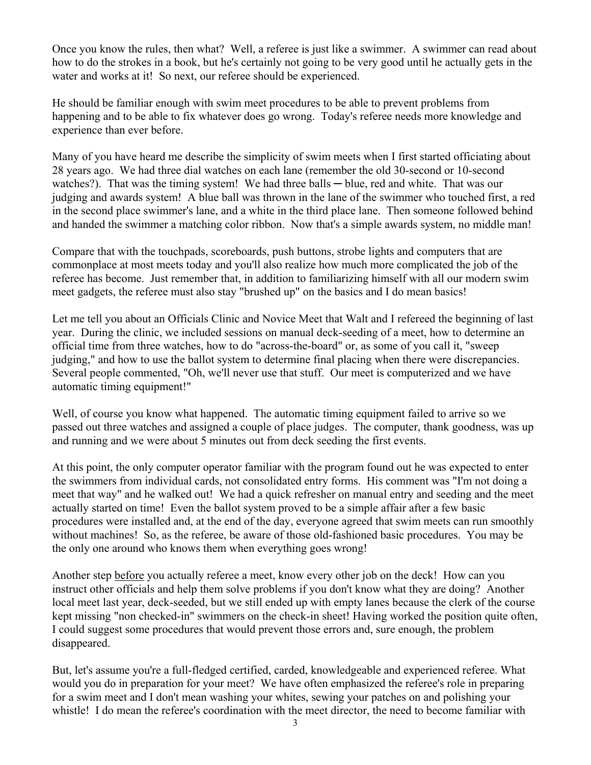Once you know the rules, then what? Well, a referee is just like a swimmer. A swimmer can read about how to do the strokes in a book, but he's certainly not going to be very good until he actually gets in the water and works at it! So next, our referee should be experienced.

He should be familiar enough with swim meet procedures to be able to prevent problems from happening and to be able to fix whatever does go wrong. Today's referee needs more knowledge and experience than ever before.

Many of you have heard me describe the simplicity of swim meets when I first started officiating about 28 years ago. We had three dial watches on each lane (remember the old 30-second or 10-second watches?). That was the timing system! We had three balls  $-$  blue, red and white. That was our judging and awards system! A blue ball was thrown in the lane of the swimmer who touched first, a red in the second place swimmer's lane, and a white in the third place lane. Then someone followed behind and handed the swimmer a matching color ribbon. Now that's a simple awards system, no middle man!

Compare that with the touchpads, scoreboards, push buttons, strobe lights and computers that are commonplace at most meets today and you'll also realize how much more complicated the job of the referee has become. Just remember that, in addition to familiarizing himself with all our modern swim meet gadgets, the referee must also stay "brushed up" on the basics and I do mean basics!

Let me tell you about an Officials Clinic and Novice Meet that Walt and I refereed the beginning of last year. During the clinic, we included sessions on manual deck-seeding of a meet, how to determine an official time from three watches, how to do "across-the-board" or, as some of you call it, "sweep judging," and how to use the ballot system to determine final placing when there were discrepancies. Several people commented, "Oh, we'll never use that stuff. Our meet is computerized and we have automatic timing equipment!"

Well, of course you know what happened. The automatic timing equipment failed to arrive so we passed out three watches and assigned a couple of place judges. The computer, thank goodness, was up and running and we were about 5 minutes out from deck seeding the first events.

At this point, the only computer operator familiar with the program found out he was expected to enter the swimmers from individual cards, not consolidated entry forms. His comment was "I'm not doing a meet that way" and he walked out! We had a quick refresher on manual entry and seeding and the meet actually started on time! Even the ballot system proved to be a simple affair after a few basic procedures were installed and, at the end of the day, everyone agreed that swim meets can run smoothly without machines! So, as the referee, be aware of those old-fashioned basic procedures. You may be the only one around who knows them when everything goes wrong!

Another step before you actually referee a meet, know every other job on the deck! How can you instruct other officials and help them solve problems if you don't know what they are doing? Another local meet last year, deck-seeded, but we still ended up with empty lanes because the clerk of the course kept missing "non checked-in" swimmers on the check-in sheet! Having worked the position quite often, I could suggest some procedures that would prevent those errors and, sure enough, the problem disappeared.

But, let's assume you're a full-fledged certified, carded, knowledgeable and experienced referee. What would you do in preparation for your meet? We have often emphasized the referee's role in preparing for a swim meet and I don't mean washing your whites, sewing your patches on and polishing your whistle! I do mean the referee's coordination with the meet director, the need to become familiar with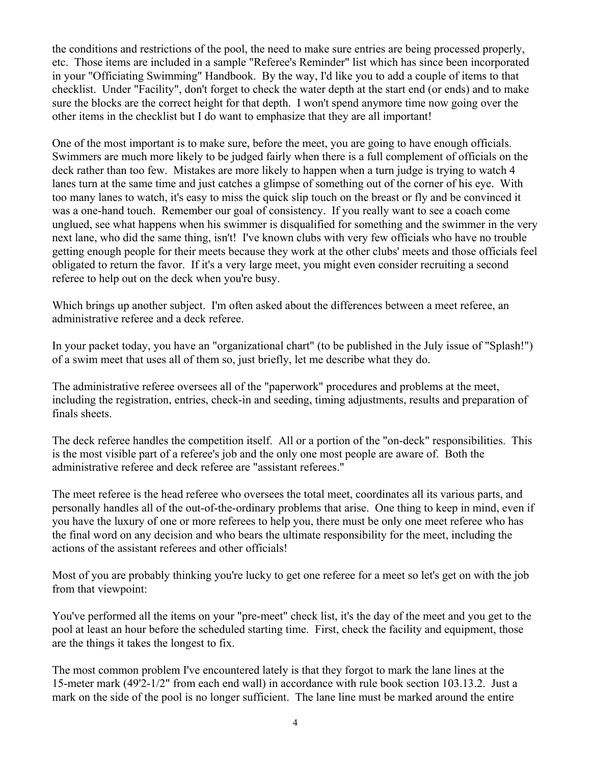the conditions and restrictions of the pool, the need to make sure entries are being processed properly, etc. Those items are included in a sample "Referee's Reminder" list which has since been incorporated in your "Officiating Swimming" Handbook. By the way, I'd like you to add a couple of items to that checklist. Under "Facility", don't forget to check the water depth at the start end (or ends) and to make sure the blocks are the correct height for that depth. I won't spend anymore time now going over the other items in the checklist but I do want to emphasize that they are all important!

One of the most important is to make sure, before the meet, you are going to have enough officials. Swimmers are much more likely to be judged fairly when there is a full complement of officials on the deck rather than too few. Mistakes are more likely to happen when a turn judge is trying to watch 4 lanes turn at the same time and just catches a glimpse of something out of the corner of his eye. With too many lanes to watch, it's easy to miss the quick slip touch on the breast or fly and be convinced it was a one-hand touch. Remember our goal of consistency. If you really want to see a coach come unglued, see what happens when his swimmer is disqualified for something and the swimmer in the very next lane, who did the same thing, isn't! I've known clubs with very few officials who have no trouble getting enough people for their meets because they work at the other clubs' meets and those officials feel obligated to return the favor. If it's a very large meet, you might even consider recruiting a second referee to help out on the deck when you're busy.

Which brings up another subject. I'm often asked about the differences between a meet referee, an administrative referee and a deck referee.

In your packet today, you have an "organizational chart" (to be published in the July issue of "Splash!") of a swim meet that uses all of them so, just briefly, let me describe what they do.

The administrative referee oversees all of the "paperwork" procedures and problems at the meet, including the registration, entries, check-in and seeding, timing adjustments, results and preparation of finals sheets.

The deck referee handles the competition itself. All or a portion of the "on-deck" responsibilities. This is the most visible part of a referee's job and the only one most people are aware of. Both the administrative referee and deck referee are "assistant referees."

The meet referee is the head referee who oversees the total meet, coordinates all its various parts, and personally handles all of the out-of-the-ordinary problems that arise. One thing to keep in mind, even if you have the luxury of one or more referees to help you, there must be only one meet referee who has the final word on any decision and who bears the ultimate responsibility for the meet, including the actions of the assistant referees and other officials!

Most of you are probably thinking you're lucky to get one referee for a meet so let's get on with the job from that viewpoint:

You've performed all the items on your "pre-meet" check list, it's the day of the meet and you get to the pool at least an hour before the scheduled starting time. First, check the facility and equipment, those are the things it takes the longest to fix.

The most common problem I've encountered lately is that they forgot to mark the lane lines at the 15-meter mark (49'2-1/2" from each end wall) in accordance with rule book section 103.13.2. Just a mark on the side of the pool is no longer sufficient. The lane line must be marked around the entire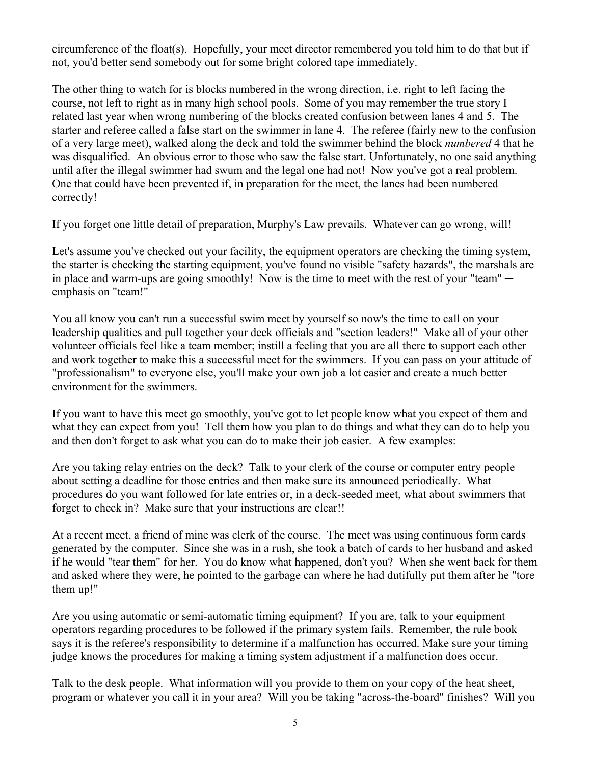circumference of the float(s). Hopefully, your meet director remembered you told him to do that but if not, you'd better send somebody out for some bright colored tape immediately.

The other thing to watch for is blocks numbered in the wrong direction, i.e. right to left facing the course, not left to right as in many high school pools. Some of you may remember the true story I related last year when wrong numbering of the blocks created confusion between lanes 4 and 5. The starter and referee called a false start on the swimmer in lane 4. The referee (fairly new to the confusion of a very large meet), walked along the deck and told the swimmer behind the block *numbered* 4 that he was disqualified. An obvious error to those who saw the false start. Unfortunately, no one said anything until after the illegal swimmer had swum and the legal one had not! Now you've got a real problem. One that could have been prevented if, in preparation for the meet, the lanes had been numbered correctly!

If you forget one little detail of preparation, Murphy's Law prevails. Whatever can go wrong, will!

Let's assume you've checked out your facility, the equipment operators are checking the timing system, the starter is checking the starting equipment, you've found no visible "safety hazards", the marshals are in place and warm-ups are going smoothly! Now is the time to meet with the rest of your "team"  $$ emphasis on "team!"

You all know you can't run a successful swim meet by yourself so now's the time to call on your leadership qualities and pull together your deck officials and "section leaders!" Make all of your other volunteer officials feel like a team member; instill a feeling that you are all there to support each other and work together to make this a successful meet for the swimmers. If you can pass on your attitude of "professionalism" to everyone else, you'll make your own job a lot easier and create a much better environment for the swimmers.

If you want to have this meet go smoothly, you've got to let people know what you expect of them and what they can expect from you! Tell them how you plan to do things and what they can do to help you and then don't forget to ask what you can do to make their job easier. A few examples:

Are you taking relay entries on the deck? Talk to your clerk of the course or computer entry people about setting a deadline for those entries and then make sure its announced periodically. What procedures do you want followed for late entries or, in a deck-seeded meet, what about swimmers that forget to check in? Make sure that your instructions are clear!!

At a recent meet, a friend of mine was clerk of the course. The meet was using continuous form cards generated by the computer. Since she was in a rush, she took a batch of cards to her husband and asked if he would "tear them" for her. You do know what happened, don't you? When she went back for them and asked where they were, he pointed to the garbage can where he had dutifully put them after he "tore" them up!"

Are you using automatic or semi-automatic timing equipment? If you are, talk to your equipment operators regarding procedures to be followed if the primary system fails. Remember, the rule book says it is the referee's responsibility to determine if a malfunction has occurred. Make sure your timing judge knows the procedures for making a timing system adjustment if a malfunction does occur.

Talk to the desk people. What information will you provide to them on your copy of the heat sheet, program or whatever you call it in your area? Will you be taking "across-the-board" finishes? Will you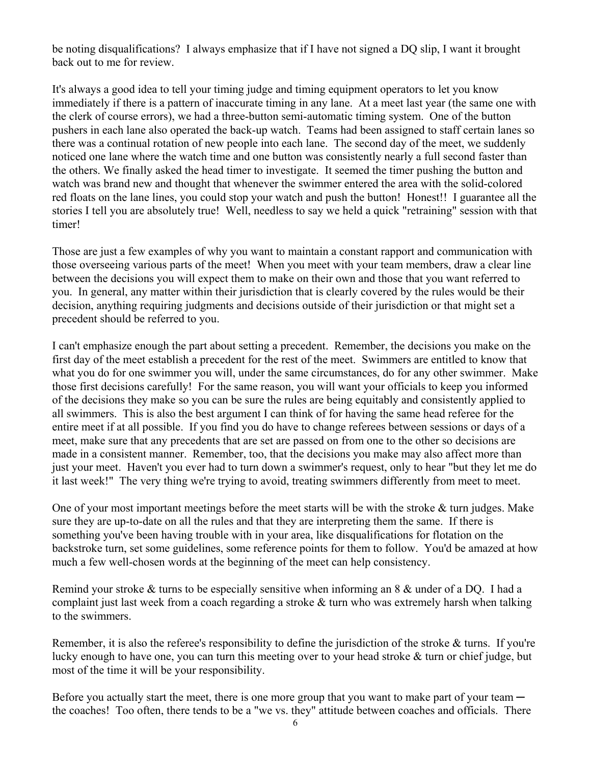be noting disqualifications? I always emphasize that if I have not signed a DQ slip, I want it brought back out to me for review.

It's always a good idea to tell your timing judge and timing equipment operators to let you know immediately if there is a pattern of inaccurate timing in any lane. At a meet last year (the same one with the clerk of course errors), we had a three-button semi-automatic timing system. One of the button pushers in each lane also operated the back-up watch. Teams had been assigned to staff certain lanes so there was a continual rotation of new people into each lane. The second day of the meet, we suddenly noticed one lane where the watch time and one button was consistently nearly a full second faster than the others. We finally asked the head timer to investigate. It seemed the timer pushing the button and watch was brand new and thought that whenever the swimmer entered the area with the solid-colored red floats on the lane lines, you could stop your watch and push the button! Honest!! I guarantee all the stories I tell you are absolutely true! Well, needless to say we held a quick "retraining" session with that timer!

Those are just a few examples of why you want to maintain a constant rapport and communication with those overseeing various parts of the meet! When you meet with your team members, draw a clear line between the decisions you will expect them to make on their own and those that you want referred to you. In general, any matter within their jurisdiction that is clearly covered by the rules would be their decision, anything requiring judgments and decisions outside of their jurisdiction or that might set a precedent should be referred to you.

I can't emphasize enough the part about setting a precedent. Remember, the decisions you make on the first day of the meet establish a precedent for the rest of the meet. Swimmers are entitled to know that what you do for one swimmer you will, under the same circumstances, do for any other swimmer. Make those first decisions carefully! For the same reason, you will want your officials to keep you informed of the decisions they make so you can be sure the rules are being equitably and consistently applied to all swimmers. This is also the best argument I can think of for having the same head referee for the entire meet if at all possible. If you find you do have to change referees between sessions or days of a meet, make sure that any precedents that are set are passed on from one to the other so decisions are made in a consistent manner. Remember, too, that the decisions you make may also affect more than just your meet. Haven't you ever had to turn down a swimmer's request, only to hear "but they let me do it last week!" The very thing we're trying to avoid, treating swimmers differently from meet to meet.

One of your most important meetings before the meet starts will be with the stroke  $\&$  turn judges. Make sure they are up-to-date on all the rules and that they are interpreting them the same. If there is something you've been having trouble with in your area, like disqualifications for flotation on the backstroke turn, set some guidelines, some reference points for them to follow. You'd be amazed at how much a few well-chosen words at the beginning of the meet can help consistency.

Remind your stroke  $&$  turns to be especially sensitive when informing an 8  $&$  under of a DQ. I had a complaint just last week from a coach regarding a stroke  $\&$  turn who was extremely harsh when talking to the swimmers.

Remember, it is also the referee's responsibility to define the jurisdiction of the stroke  $&$  turns. If you're lucky enough to have one, you can turn this meeting over to your head stroke  $\&$  turn or chief judge, but most of the time it will be your responsibility.

Before you actually start the meet, there is one more group that you want to make part of your team  $$ the coaches! Too often, there tends to be a "we vs. they" attitude between coaches and officials. There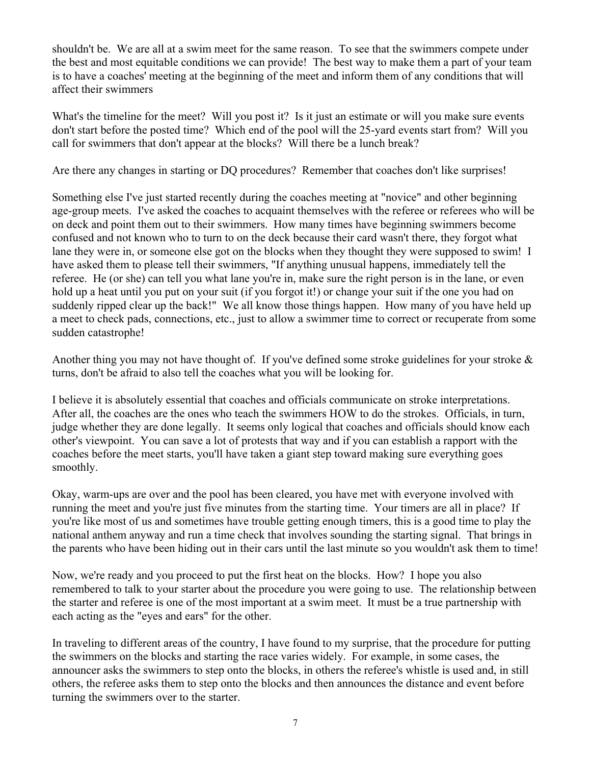shouldn't be. We are all at a swim meet for the same reason. To see that the swimmers compete under the best and most equitable conditions we can provide! The best way to make them a part of your team is to have a coaches' meeting at the beginning of the meet and inform them of any conditions that will affect their swimmers

What's the timeline for the meet? Will you post it? Is it just an estimate or will you make sure events don't start before the posted time? Which end of the pool will the 25-yard events start from? Will you call for swimmers that don't appear at the blocks? Will there be a lunch break?

Are there any changes in starting or DQ procedures? Remember that coaches don't like surprises!

Something else I've just started recently during the coaches meeting at "novice" and other beginning age-group meets. I've asked the coaches to acquaint themselves with the referee or referees who will be on deck and point them out to their swimmers. How many times have beginning swimmers become confused and not known who to turn to on the deck because their card wasn't there, they forgot what lane they were in, or someone else got on the blocks when they thought they were supposed to swim! I have asked them to please tell their swimmers, "If anything unusual happens, immediately tell the referee. He (or she) can tell you what lane you're in, make sure the right person is in the lane, or even hold up a heat until you put on your suit (if you forgot it!) or change your suit if the one you had on suddenly ripped clear up the back!" We all know those things happen. How many of you have held up a meet to check pads, connections, etc., just to allow a swimmer time to correct or recuperate from some sudden catastrophe!

Another thing you may not have thought of. If you've defined some stroke guidelines for your stroke  $\&$ turns, don't be afraid to also tell the coaches what you will be looking for.

I believe it is absolutely essential that coaches and officials communicate on stroke interpretations. After all, the coaches are the ones who teach the swimmers HOW to do the strokes. Officials, in turn, judge whether they are done legally. It seems only logical that coaches and officials should know each other's viewpoint. You can save a lot of protests that way and if you can establish a rapport with the coaches before the meet starts, you'll have taken a giant step toward making sure everything goes smoothly.

Okay, warm-ups are over and the pool has been cleared, you have met with everyone involved with running the meet and you're just five minutes from the starting time. Your timers are all in place? If you're like most of us and sometimes have trouble getting enough timers, this is a good time to play the national anthem anyway and run a time check that involves sounding the starting signal. That brings in the parents who have been hiding out in their cars until the last minute so you wouldn't ask them to time!

Now, we're ready and you proceed to put the first heat on the blocks. How? I hope you also remembered to talk to your starter about the procedure you were going to use. The relationship between the starter and referee is one of the most important at a swim meet. It must be a true partnership with each acting as the "eyes and ears" for the other.

In traveling to different areas of the country, I have found to my surprise, that the procedure for putting the swimmers on the blocks and starting the race varies widely. For example, in some cases, the announcer asks the swimmers to step onto the blocks, in others the referee's whistle is used and, in still others, the referee asks them to step onto the blocks and then announces the distance and event before turning the swimmers over to the starter.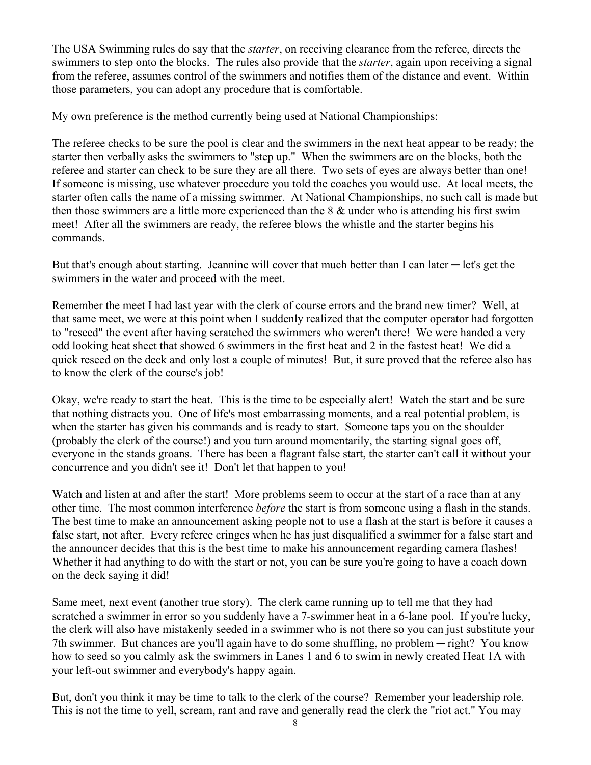The USA Swimming rules do say that the *starter*, on receiving clearance from the referee, directs the swimmers to step onto the blocks. The rules also provide that the *starter*, again upon receiving a signal from the referee, assumes control of the swimmers and notifies them of the distance and event. Within those parameters, you can adopt any procedure that is comfortable.

My own preference is the method currently being used at National Championships:

The referee checks to be sure the pool is clear and the swimmers in the next heat appear to be ready; the starter then verbally asks the swimmers to "step up." When the swimmers are on the blocks, both the referee and starter can check to be sure they are all there. Two sets of eyes are always better than one! If someone is missing, use whatever procedure you told the coaches you would use. At local meets, the starter often calls the name of a missing swimmer. At National Championships, no such call is made but then those swimmers are a little more experienced than the  $8 \&$  under who is attending his first swim meet! After all the swimmers are ready, the referee blows the whistle and the starter begins his commands.

But that's enough about starting. Jeannine will cover that much better than I can later  $-$  let's get the swimmers in the water and proceed with the meet.

Remember the meet I had last year with the clerk of course errors and the brand new timer? Well, at that same meet, we were at this point when I suddenly realized that the computer operator had forgotten to "reseed" the event after having scratched the swimmers who weren't there! We were handed a very odd looking heat sheet that showed 6 swimmers in the first heat and 2 in the fastest heat! We did a quick reseed on the deck and only lost a couple of minutes! But, it sure proved that the referee also has to know the clerk of the course's job!

Okay, we're ready to start the heat. This is the time to be especially alert! Watch the start and be sure that nothing distracts you. One of life's most embarrassing moments, and a real potential problem, is when the starter has given his commands and is ready to start. Someone taps you on the shoulder (probably the clerk of the course!) and you turn around momentarily, the starting signal goes off, everyone in the stands groans. There has been a flagrant false start, the starter can't call it without your concurrence and you didn't see it! Don't let that happen to you!

Watch and listen at and after the start! More problems seem to occur at the start of a race than at any other time. The most common interference *before* the start is from someone using a flash in the stands. The best time to make an announcement asking people not to use a flash at the start is before it causes a false start, not after. Every referee cringes when he has just disqualified a swimmer for a false start and the announcer decides that this is the best time to make his announcement regarding camera flashes! Whether it had anything to do with the start or not, you can be sure you're going to have a coach down on the deck saying it did!

Same meet, next event (another true story). The clerk came running up to tell me that they had scratched a swimmer in error so you suddenly have a 7-swimmer heat in a 6-lane pool. If you're lucky, the clerk will also have mistakenly seeded in a swimmer who is not there so you can just substitute your 7th swimmer. But chances are you'll again have to do some shuffling, no problem  $-$  right? You know how to seed so you calmly ask the swimmers in Lanes 1 and 6 to swim in newly created Heat 1A with your left-out swimmer and everybody's happy again.

But, don't you think it may be time to talk to the clerk of the course? Remember your leadership role. This is not the time to yell, scream, rant and rave and generally read the clerk the "riot act." You may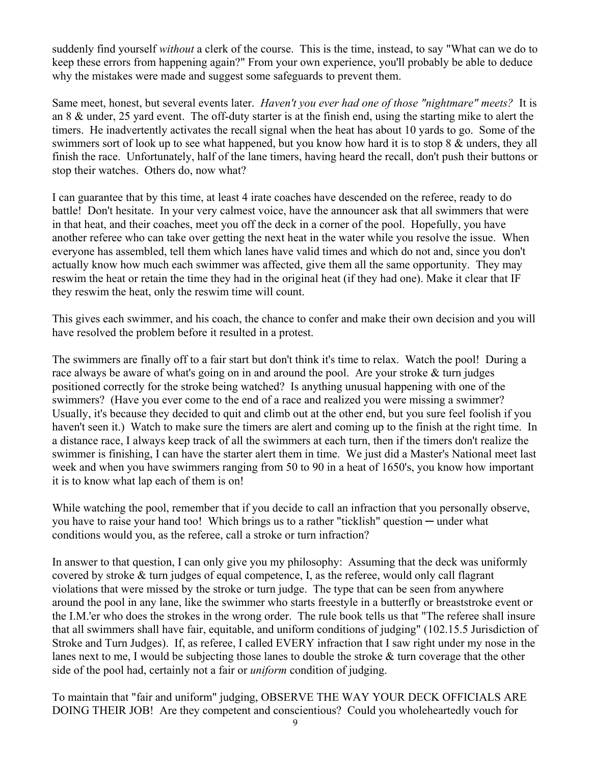suddenly find yourself *without* a clerk of the course. This is the time, instead, to say "What can we do to keep these errors from happening again?" From your own experience, you'll probably be able to deduce why the mistakes were made and suggest some safeguards to prevent them.

Same meet, honest, but several events later. *Haven't you ever had one of those "nightmare" meets?* It is an 8  $\&$  under, 25 yard event. The off-duty starter is at the finish end, using the starting mike to alert the timers. He inadvertently activates the recall signal when the heat has about 10 yards to go. Some of the swimmers sort of look up to see what happened, but you know how hard it is to stop  $8 \&$  unders, they all finish the race. Unfortunately, half of the lane timers, having heard the recall, don't push their buttons or stop their watches. Others do, now what?

I can guarantee that by this time, at least 4 irate coaches have descended on the referee, ready to do battle! Don't hesitate. In your very calmest voice, have the announcer ask that all swimmers that were in that heat, and their coaches, meet you off the deck in a corner of the pool. Hopefully, you have another referee who can take over getting the next heat in the water while you resolve the issue. When everyone has assembled, tell them which lanes have valid times and which do not and, since you don't actually know how much each swimmer was affected, give them all the same opportunity. They may reswim the heat or retain the time they had in the original heat (if they had one). Make it clear that IF they reswim the heat, only the reswim time will count.

This gives each swimmer, and his coach, the chance to confer and make their own decision and you will have resolved the problem before it resulted in a protest.

The swimmers are finally off to a fair start but don't think it's time to relax. Watch the pool! During a race always be aware of what's going on in and around the pool. Are your stroke  $\&$  turn judges positioned correctly for the stroke being watched? Is anything unusual happening with one of the swimmers? (Have you ever come to the end of a race and realized you were missing a swimmer? Usually, it's because they decided to quit and climb out at the other end, but you sure feel foolish if you haven't seen it.) Watch to make sure the timers are alert and coming up to the finish at the right time. In a distance race, I always keep track of all the swimmers at each turn, then if the timers don't realize the swimmer is finishing, I can have the starter alert them in time. We just did a Master's National meet last week and when you have swimmers ranging from 50 to 90 in a heat of 1650's, you know how important it is to know what lap each of them is on!

While watching the pool, remember that if you decide to call an infraction that you personally observe, you have to raise your hand too! Which brings us to a rather "ticklish" question — under what conditions would you, as the referee, call a stroke or turn infraction?

In answer to that question, I can only give you my philosophy: Assuming that the deck was uniformly covered by stroke  $\&$  turn judges of equal competence, I, as the referee, would only call flagrant violations that were missed by the stroke or turn judge. The type that can be seen from anywhere around the pool in any lane, like the swimmer who starts freestyle in a butterfly or breaststroke event or the I.M.'er who does the strokes in the wrong order. The rule book tells us that "The referee shall insure that all swimmers shall have fair, equitable, and uniform conditions of judging" (102.15.5 Jurisdiction of Stroke and Turn Judges). If, as referee, I called EVERY infraction that I saw right under my nose in the lanes next to me, I would be subjecting those lanes to double the stroke  $\&$  turn coverage that the other side of the pool had, certainly not a fair or *uniform* condition of judging.

To maintain that "fair and uniform" judging, OBSERVE THE WAY YOUR DECK OFFICIALS ARE DOING THEIR JOB! Are they competent and conscientious? Could you wholeheartedly vouch for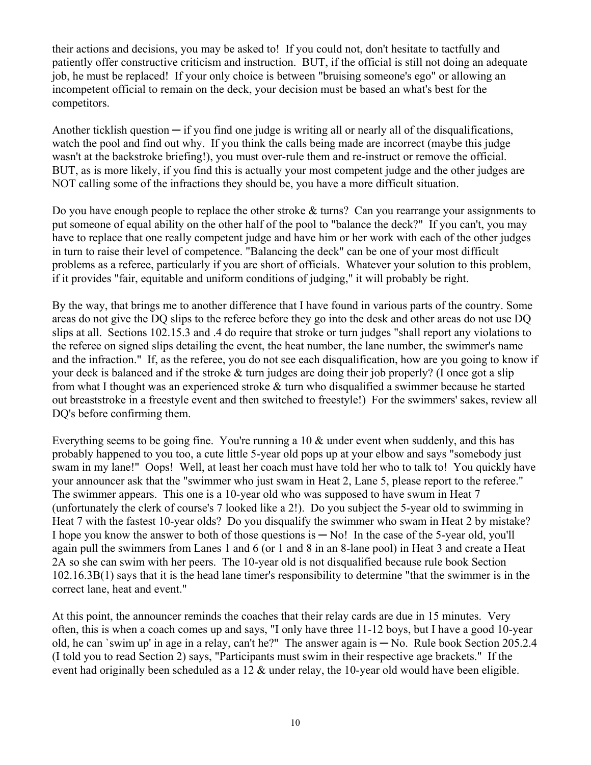their actions and decisions, you may be asked to! If you could not, don't hesitate to tactfully and patiently offer constructive criticism and instruction. BUT, if the official is still not doing an adequate job, he must be replaced! If your only choice is between "bruising someone's ego" or allowing an incompetent official to remain on the deck, your decision must be based an what's best for the competitors.

Another ticklish question  $-$  if you find one judge is writing all or nearly all of the disqualifications, watch the pool and find out why. If you think the calls being made are incorrect (maybe this judge wasn't at the backstroke briefing!), you must over-rule them and re-instruct or remove the official. BUT, as is more likely, if you find this is actually your most competent judge and the other judges are NOT calling some of the infractions they should be, you have a more difficult situation.

Do you have enough people to replace the other stroke  $&$  turns? Can you rearrange your assignments to put someone of equal ability on the other half of the pool to "balance the deck?" If you can't, you may have to replace that one really competent judge and have him or her work with each of the other judges in turn to raise their level of competence. "Balancing the deck" can be one of your most difficult problems as a referee, particularly if you are short of officials. Whatever your solution to this problem, if it provides "fair, equitable and uniform conditions of judging," it will probably be right.

By the way, that brings me to another difference that I have found in various parts of the country. Some areas do not give the DQ slips to the referee before they go into the desk and other areas do not use DQ slips at all. Sections 102.15.3 and .4 do require that stroke or turn judges "shall report any violations to the referee on signed slips detailing the event, the heat number, the lane number, the swimmer's name and the infraction." If, as the referee, you do not see each disqualification, how are you going to know if your deck is balanced and if the stroke  $\&$  turn judges are doing their job properly? (I once got a slip from what I thought was an experienced stroke  $&$  turn who disqualified a swimmer because he started out breaststroke in a freestyle event and then switched to freestyle!) For the swimmers' sakes, review all DQ's before confirming them.

Everything seems to be going fine. You're running a 10  $\&$  under event when suddenly, and this has probably happened to you too, a cute little 5-year old pops up at your elbow and says "somebody just swam in my lane!" Oops! Well, at least her coach must have told her who to talk to! You quickly have your announcer ask that the "swimmer who just swam in Heat 2, Lane 5, please report to the referee." The swimmer appears. This one is a 10-year old who was supposed to have swum in Heat 7 (unfortunately the clerk of course's 7 looked like a 2!). Do you subject the 5-year old to swimming in Heat 7 with the fastest 10-year olds? Do you disqualify the swimmer who swam in Heat 2 by mistake? I hope you know the answer to both of those questions is  $-$  No! In the case of the 5-year old, you'll again pull the swimmers from Lanes 1 and 6 (or 1 and 8 in an 8-lane pool) in Heat 3 and create a Heat 2A so she can swim with her peers. The 10-year old is not disqualified because rule book Section  $102.16.3B(1)$  says that it is the head lane timer's responsibility to determine "that the swimmer is in the correct lane, heat and event."

At this point, the announcer reminds the coaches that their relay cards are due in 15 minutes. Very often, this is when a coach comes up and says, "I only have three 11-12 boys, but I have a good 10-year old, he can 'swim up' in age in a relay, can't he?" The answer again is  $-$  No. Rule book Section 205.2.4 (I told you to read Section 2) says, "Participants must swim in their respective age brackets." If the event had originally been scheduled as a 12  $\&$  under relay, the 10-year old would have been eligible.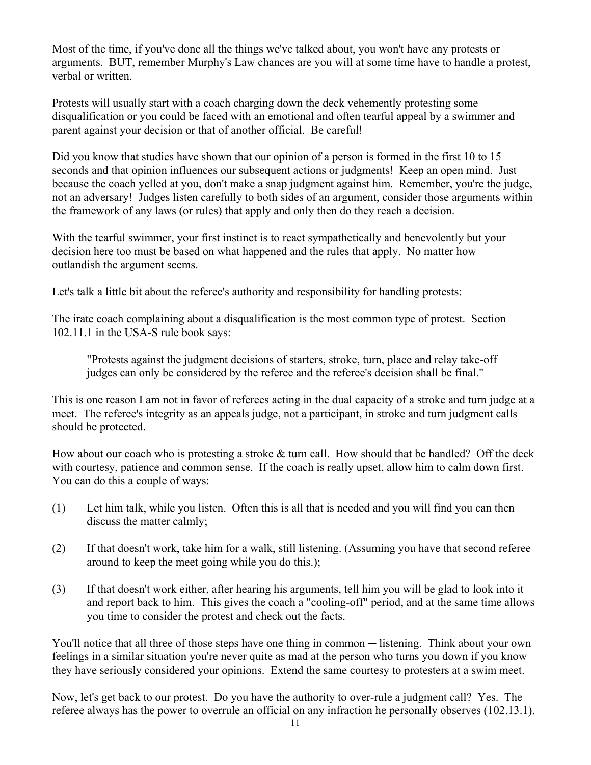Most of the time, if you've done all the things we've talked about, you won't have any protests or arguments. BUT, remember Murphy's Law chances are you will at some time have to handle a protest, verbal or written.

Protests will usually start with a coach charging down the deck vehemently protesting some disqualification or you could be faced with an emotional and often tearful appeal by a swimmer and parent against your decision or that of another official. Be careful!

Did you know that studies have shown that our opinion of a person is formed in the first 10 to 15 seconds and that opinion influences our subsequent actions or judgments! Keep an open mind. Just because the coach yelled at you, don't make a snap judgment against him. Remember, you're the judge, not an adversary! Judges listen carefully to both sides of an argument, consider those arguments within the framework of any laws (or rules) that apply and only then do they reach a decision.

With the tearful swimmer, your first instinct is to react sympathetically and benevolently but your decision here too must be based on what happened and the rules that apply. No matter how outlandish the argument seems.

Let's talk a little bit about the referee's authority and responsibility for handling protests:

The irate coach complaining about a disqualification is the most common type of protest. Section 102.11.1 in the USA-S rule book says:

"Protests against the judgment decisions of starters, stroke, turn, place and relay take-off judges can only be considered by the referee and the referee's decision shall be final."

This is one reason I am not in favor of referees acting in the dual capacity of a stroke and turn judge at a meet. The referee's integrity as an appeals judge, not a participant, in stroke and turn judgment calls should be protected.

How about our coach who is protesting a stroke  $&$  turn call. How should that be handled? Off the deck with courtesy, patience and common sense. If the coach is really upset, allow him to calm down first. You can do this a couple of ways:

- (1) Let him talk, while you listen. Often this is all that is needed and you will find you can then discuss the matter calmly;
- $(2)$  If that doesn't work, take him for a walk, still listening. (Assuming you have that second referee around to keep the meet going while you do this.);
- (3) If that doesn't work either, after hearing his arguments, tell him you will be glad to look into it and report back to him. This gives the coach a "cooling-off" period, and at the same time allows you time to consider the protest and check out the facts.

You'll notice that all three of those steps have one thing in common — listening. Think about your own feelings in a similar situation you're never quite as mad at the person who turns you down if you know they have seriously considered your opinions. Extend the same courtesy to protesters at a swim meet.

Now, let's get back to our protest. Do you have the authority to over-rule a judgment call? Yes. The referee always has the power to overrule an official on any infraction he personally observes (102.13.1).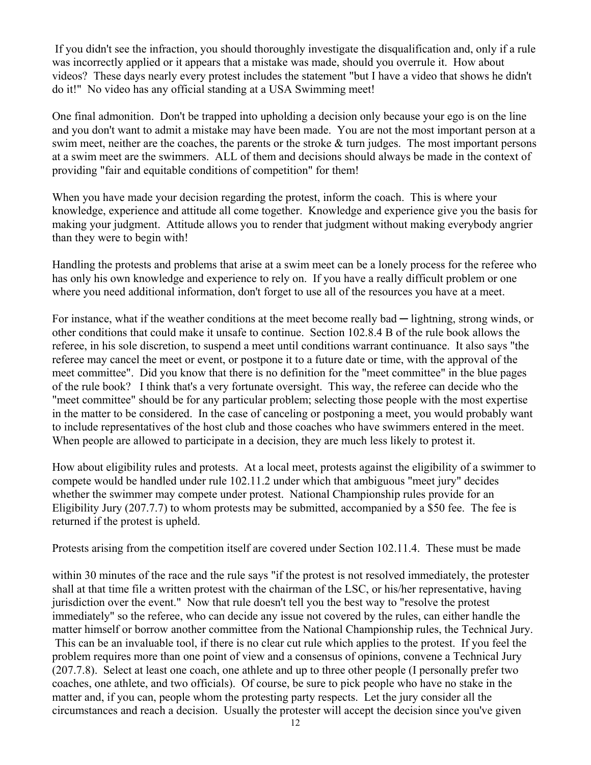If you didn't see the infraction, you should thoroughly investigate the disqualification and, only if a rule was incorrectly applied or it appears that a mistake was made, should you overrule it. How about videos? These days nearly every protest includes the statement "but I have a video that shows he didn't do it!" No video has any official standing at a USA Swimming meet!

One final admonition. Don't be trapped into upholding a decision only because your ego is on the line and you don't want to admit a mistake may have been made. You are not the most important person at a swim meet, neither are the coaches, the parents or the stroke  $&$  turn judges. The most important persons at a swim meet are the swimmers. ALL of them and decisions should always be made in the context of providing "fair and equitable conditions of competition" for them!

When you have made your decision regarding the protest, inform the coach. This is where your knowledge, experience and attitude all come together. Knowledge and experience give you the basis for making your judgment. Attitude allows you to render that judgment without making everybody angrier than they were to begin with!

Handling the protests and problems that arise at a swim meet can be a lonely process for the referee who has only his own knowledge and experience to rely on. If you have a really difficult problem or one where you need additional information, don't forget to use all of the resources you have at a meet.

For instance, what if the weather conditions at the meet become really bad  $-$  lightning, strong winds, or other conditions that could make it unsafe to continue. Section 102.8.4 B of the rule book allows the referee, in his sole discretion, to suspend a meet until conditions warrant continuance. It also says "the referee may cancel the meet or event, or postpone it to a future date or time, with the approval of the meet committee". Did you know that there is no definition for the "meet committee" in the blue pages of the rule book? I think that's a very fortunate oversight. This way, the referee can decide who the "meet committee" should be for any particular problem; selecting those people with the most expertise in the matter to be considered. In the case of canceling or postponing a meet, you would probably want to include representatives of the host club and those coaches who have swimmers entered in the meet. When people are allowed to participate in a decision, they are much less likely to protest it.

How about eligibility rules and protests. At a local meet, protests against the eligibility of a swimmer to compete would be handled under rule 102.11.2 under which that ambiguous "meet jury" decides whether the swimmer may compete under protest. National Championship rules provide for an Eligibility Jury (207.7.7) to whom protests may be submitted, accompanied by a \$50 fee. The fee is returned if the protest is upheld.

Protests arising from the competition itself are covered under Section 102.11.4. These must be made

within 30 minutes of the race and the rule says "if the protest is not resolved immediately, the protester shall at that time file a written protest with the chairman of the LSC, or his/her representative, having jurisdiction over the event." Now that rule doesn't tell you the best way to "resolve the protest" immediately" so the referee, who can decide any issue not covered by the rules, can either handle the matter himself or borrow another committee from the National Championship rules, the Technical Jury. This can be an invaluable tool, if there is no clear cut rule which applies to the protest. If you feel the problem requires more than one point of view and a consensus of opinions, convene a Technical Jury  $(207.7.8)$ . Select at least one coach, one athlete and up to three other people (I personally prefer two coaches, one athlete, and two officials). Of course, be sure to pick people who have no stake in the matter and, if you can, people whom the protesting party respects. Let the jury consider all the circumstances and reach a decision. Usually the protester will accept the decision since you've given